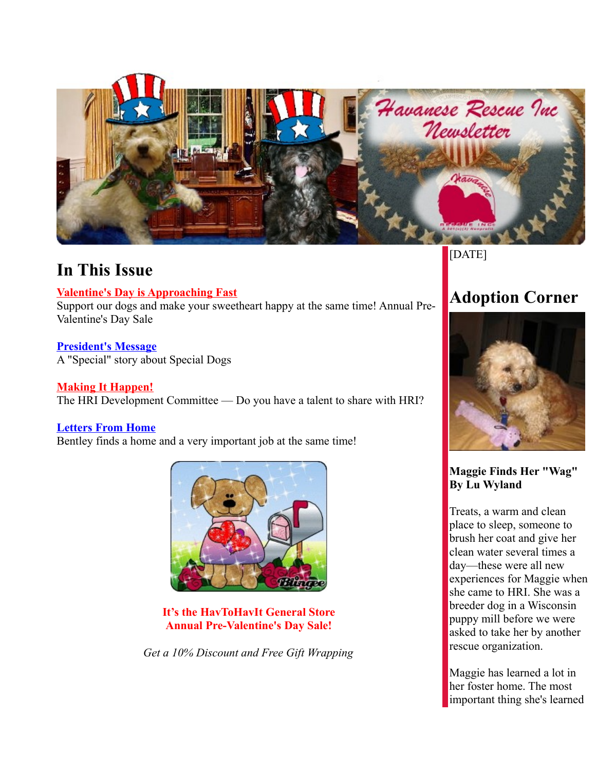

## **In This Issue**

### **[Valentine's Day is Approaching Fast](http://www.havaneserescue.com/index.php?option=com_acajoom&act=mailing&task=view&listid=21&mailingid=27&Itemid=20020#HavToHavIt)**

Support our dogs and make your sweetheart happy at the same time! Annual Pre-Valentine's Day Sale

#### **[President's Message](http://www.havaneserescue.com/index.php?option=com_acajoom&act=mailing&task=view&listid=21&mailingid=27&Itemid=20020#Presmsg)** A "Special" story about Special Dogs

**[Making It Happen!](http://www.havaneserescue.com/index.php?option=com_acajoom&act=mailing&task=view&listid=21&mailingid=27&Itemid=20020#DevCom)** The HRI Development Committee — Do you have a talent to share with HRI?

### **[Letters From Home](http://www.havaneserescue.com/index.php?option=com_acajoom&act=mailing&task=view&listid=21&mailingid=27&Itemid=20020#lettershome)**

Bentley finds a home and a very important job at the same time!



**It's the HavToHavIt General Store Annual Pre-Valentine's Day Sale!**

*Get a 10% Discount and Free Gift Wrapping*

[DATE]

# **Adoption Corner**



### **Maggie Finds Her "Wag" By Lu Wyland**

Treats, a warm and clean place to sleep, someone to brush her coat and give her clean water several times a day—these were all new experiences for Maggie when she came to HRI. She was a breeder dog in a Wisconsin puppy mill before we were asked to take her by another rescue organization.

Maggie has learned a lot in her foster home. The most important thing she's learned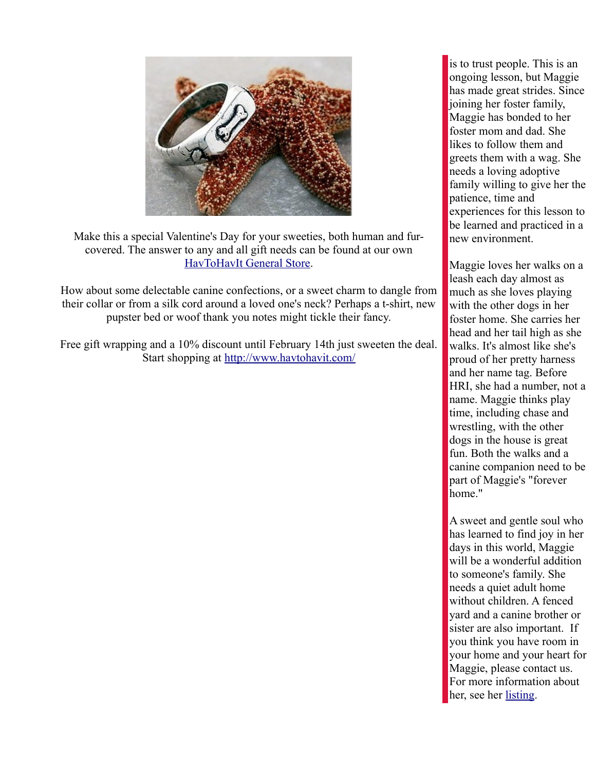

Make this a special Valentine's Day for your sweeties, both human and furcovered. The answer to any and all gift needs can be found at our own [HavToHavIt General Store.](http://www.havtohavit.com/)

How about some delectable canine confections, or a sweet charm to dangle from their collar or from a silk cord around a loved one's neck? Perhaps a t-shirt, new pupster bed or woof thank you notes might tickle their fancy.

Free gift wrapping and a 10% discount until February 14th just sweeten the deal. Start shopping at<http://www.havtohavit.com/>

is to trust people. This is an ongoing lesson, but Maggie has made great strides. Since joining her foster family, Maggie has bonded to her foster mom and dad. She likes to follow them and greets them with a wag. She needs a loving adoptive family willing to give her the patience, time and experiences for this lesson to be learned and practiced in a new environment.

Maggie loves her walks on a leash each day almost as much as she loves playing with the other dogs in her foster home. She carries her head and her tail high as she walks. It's almost like she's proud of her pretty harness and her name tag. Before HRI, she had a number, not a name. Maggie thinks play time, including chase and wrestling, with the other dogs in the house is great fun. Both the walks and a canine companion need to be part of Maggie's "forever home."

A sweet and gentle soul who has learned to find joy in her days in this world, Maggie will be a wonderful addition to someone's family. She needs a quiet adult home without children. A fenced yard and a canine brother or sister are also important. If you think you have room in your home and your heart for Maggie, please contact us. For more information about her, see her listing.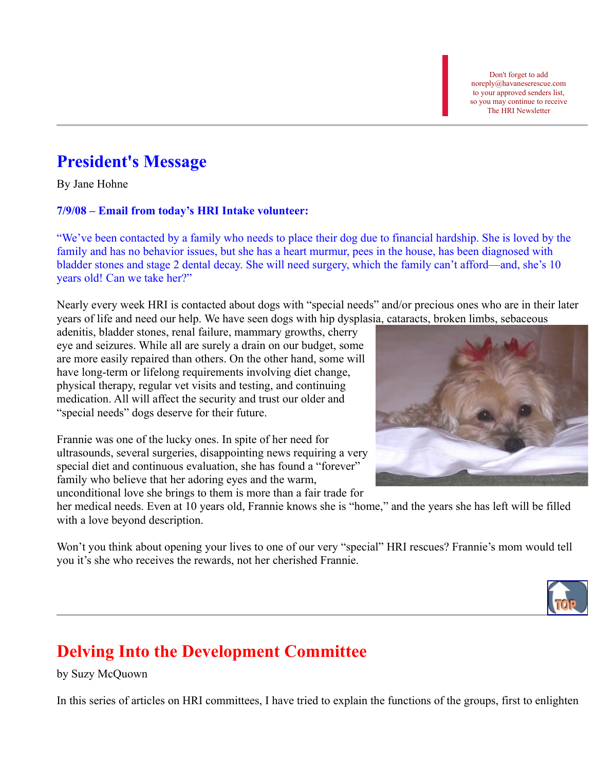Don't forget to add noreply@havaneserescue.com to your approved senders list, so you may continue to receive The HRI Newsletter

## **President's Message**

By Jane Hohne

### **7/9/08 – Email from today's HRI Intake volunteer:**

"We've been contacted by a family who needs to place their dog due to financial hardship. She is loved by the family and has no behavior issues, but she has a heart murmur, pees in the house, has been diagnosed with bladder stones and stage 2 dental decay. She will need surgery, which the family can't afford—and, she's 10 years old! Can we take her?"

Nearly every week HRI is contacted about dogs with "special needs" and/or precious ones who are in their later years of life and need our help. We have seen dogs with hip dysplasia, cataracts, broken limbs, sebaceous

adenitis, bladder stones, renal failure, mammary growths, cherry eye and seizures. While all are surely a drain on our budget, some are more easily repaired than others. On the other hand, some will have long-term or lifelong requirements involving diet change, physical therapy, regular vet visits and testing, and continuing medication. All will affect the security and trust our older and "special needs" dogs deserve for their future.

Frannie was one of the lucky ones. In spite of her need for ultrasounds, several surgeries, disappointing news requiring a very special diet and continuous evaluation, she has found a "forever" family who believe that her adoring eyes and the warm, unconditional love she brings to them is more than a fair trade for

her medical needs. Even at 10 years old, Frannie knows she is "home," and the years she has left will be filled with a love beyond description.

Won't you think about opening your lives to one of our very "special" HRI rescues? Frannie's mom would tell you it's she who receives the rewards, not her cherished Frannie.



# **Delving Into the Development Committee**

by Suzy McQuown

In this series of articles on HRI committees, I have tried to explain the functions of the groups, first to enlighten

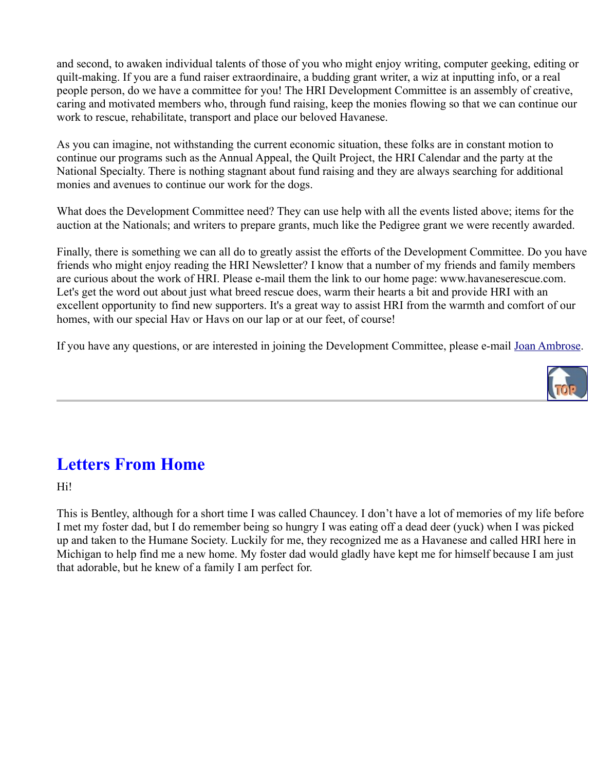and second, to awaken individual talents of those of you who might enjoy writing, computer geeking, editing or quilt-making. If you are a fund raiser extraordinaire, a budding grant writer, a wiz at inputting info, or a real people person, do we have a committee for you! The HRI Development Committee is an assembly of creative, caring and motivated members who, through fund raising, keep the monies flowing so that we can continue our work to rescue, rehabilitate, transport and place our beloved Havanese.

As you can imagine, not withstanding the current economic situation, these folks are in constant motion to continue our programs such as the Annual Appeal, the Quilt Project, the HRI Calendar and the party at the National Specialty. There is nothing stagnant about fund raising and they are always searching for additional monies and avenues to continue our work for the dogs.

What does the Development Committee need? They can use help with all the events listed above; items for the auction at the Nationals; and writers to prepare grants, much like the Pedigree grant we were recently awarded.

Finally, there is something we can all do to greatly assist the efforts of the Development Committee. Do you have friends who might enjoy reading the HRI Newsletter? I know that a number of my friends and family members are curious about the work of HRI. Please e-mail them the link to our home page: www.havaneserescue.com. Let's get the word out about just what breed rescue does, warm their hearts a bit and provide HRI with an excellent opportunity to find new supporters. It's a great way to assist HRI from the warmth and comfort of our homes, with our special Hav or Havs on our lap or at our feet, of course!

If you have any questions, or are interested in joining the Development Committee, please e-mail Joan Ambrose.



## **Letters From Home**

Hi!

This is Bentley, although for a short time I was called Chauncey. I don't have a lot of memories of my life before I met my foster dad, but I do remember being so hungry I was eating off a dead deer (yuck) when I was picked up and taken to the Humane Society. Luckily for me, they recognized me as a Havanese and called HRI here in Michigan to help find me a new home. My foster dad would gladly have kept me for himself because I am just that adorable, but he knew of a family I am perfect for.